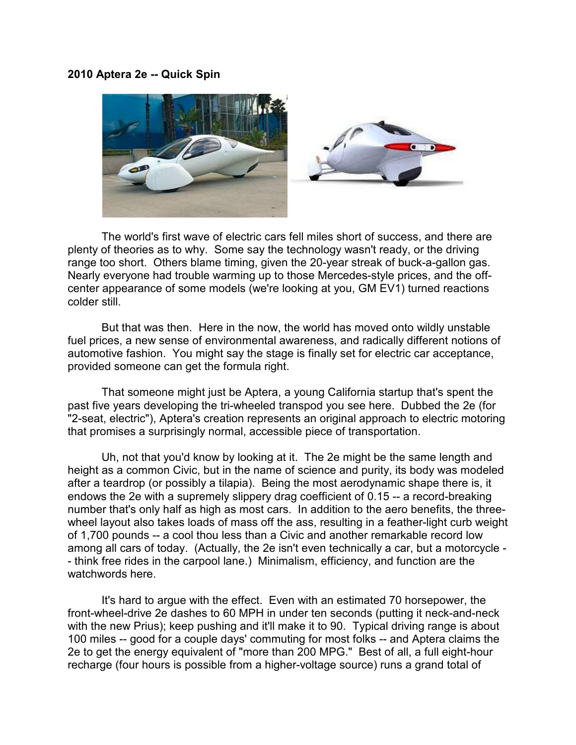## 2010 Aptera 2e -- Quick Spin



 The world's first wave of electric cars fell miles short of success, and there are plenty of theories as to why. Some say the technology wasn't ready, or the driving range too short. Others blame timing, given the 20-year streak of buck-a-gallon gas. Nearly everyone had trouble warming up to those Mercedes-style prices, and the offcenter appearance of some models (we're looking at you, GM EV1) turned reactions colder still.

 But that was then. Here in the now, the world has moved onto wildly unstable fuel prices, a new sense of environmental awareness, and radically different notions of automotive fashion. You might say the stage is finally set for electric car acceptance, provided someone can get the formula right.

 That someone might just be Aptera, a young California startup that's spent the past five years developing the tri-wheeled transpod you see here. Dubbed the 2e (for "2-seat, electric"), Aptera's creation represents an original approach to electric motoring that promises a surprisingly normal, accessible piece of transportation.

 Uh, not that you'd know by looking at it. The 2e might be the same length and height as a common Civic, but in the name of science and purity, its body was modeled after a teardrop (or possibly a tilapia). Being the most aerodynamic shape there is, it endows the 2e with a supremely slippery drag coefficient of 0.15 -- a record-breaking number that's only half as high as most cars. In addition to the aero benefits, the threewheel layout also takes loads of mass off the ass, resulting in a feather-light curb weight of 1,700 pounds -- a cool thou less than a Civic and another remarkable record low among all cars of today. (Actually, the 2e isn't even technically a car, but a motorcycle - - think free rides in the carpool lane.) Minimalism, efficiency, and function are the watchwords here.

 It's hard to argue with the effect. Even with an estimated 70 horsepower, the front-wheel-drive 2e dashes to 60 MPH in under ten seconds (putting it neck-and-neck with the new Prius); keep pushing and it'll make it to 90. Typical driving range is about 100 miles -- good for a couple days' commuting for most folks -- and Aptera claims the 2e to get the energy equivalent of "more than 200 MPG." Best of all, a full eight-hour recharge (four hours is possible from a higher-voltage source) runs a grand total of